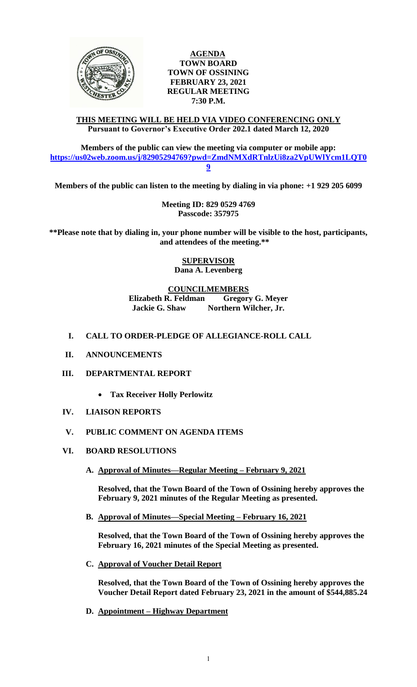

### **AGENDA TOWN BOARD TOWN OF OSSINING FEBRUARY 23, 2021 REGULAR MEETING 7:30 P.M.**

#### **THIS MEETING WILL BE HELD VIA VIDEO CONFERENCING ONLY Pursuant to Governor's Executive Order 202.1 dated March 12, 2020**

**Members of the public can view the meeting via computer or mobile app: [https://us02web.zoom.us/j/82905294769?pwd=ZmdNMXdRTnlzUi8za2VpUWlYcm1LQT0](https://us02web.zoom.us/j/82905294769?pwd=ZmdNMXdRTnlzUi8za2VpUWlYcm1LQT09) [9](https://us02web.zoom.us/j/82905294769?pwd=ZmdNMXdRTnlzUi8za2VpUWlYcm1LQT09)**

**Members of the public can listen to the meeting by dialing in via phone: +1 929 205 6099** 

**Meeting ID: 829 0529 4769 Passcode: 357975**

**\*\*Please note that by dialing in, your phone number will be visible to the host, participants, and attendees of the meeting.\*\*** 

> **SUPERVISOR Dana A. Levenberg**

**COUNCILMEMBERS**

**Elizabeth R. Feldman Gregory G. Meyer Jackie G. Shaw Northern Wilcher, Jr.**

# **I. CALL TO ORDER-PLEDGE OF ALLEGIANCE-ROLL CALL**

- **II. ANNOUNCEMENTS**
- **III. DEPARTMENTAL REPORT**
	- **Tax Receiver Holly Perlowitz**
- **IV. LIAISON REPORTS**
- **V. PUBLIC COMMENT ON AGENDA ITEMS**
- **VI. BOARD RESOLUTIONS**
	- **A. Approval of Minutes—Regular Meeting – February 9, 2021**

**Resolved, that the Town Board of the Town of Ossining hereby approves the February 9, 2021 minutes of the Regular Meeting as presented.**

**B. Approval of Minutes—Special Meeting – February 16, 2021**

**Resolved, that the Town Board of the Town of Ossining hereby approves the February 16, 2021 minutes of the Special Meeting as presented.**

**C. Approval of Voucher Detail Report**

**Resolved, that the Town Board of the Town of Ossining hereby approves the Voucher Detail Report dated February 23, 2021 in the amount of \$544,885.24**

**D. Appointment – Highway Department**